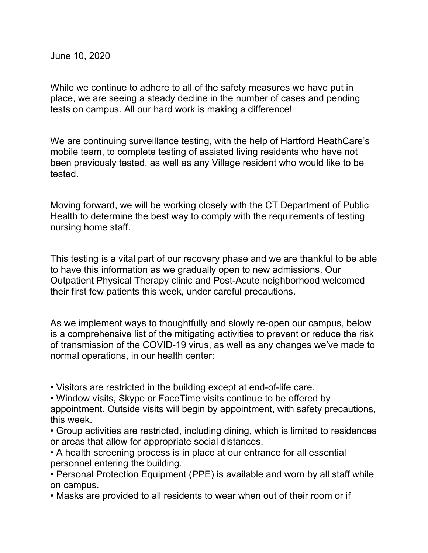June 10, 2020

While we continue to adhere to all of the safety measures we have put in place, we are seeing a steady decline in the number of cases and pending tests on campus. All our hard work is making a difference!

We are continuing surveillance testing, with the help of Hartford HeathCare's mobile team, to complete testing of assisted living residents who have not been previously tested, as well as any Village resident who would like to be tested.

Moving forward, we will be working closely with the CT Department of Public Health to determine the best way to comply with the requirements of testing nursing home staff.

This testing is a vital part of our recovery phase and we are thankful to be able to have this information as we gradually open to new admissions. Our Outpatient Physical Therapy clinic and Post-Acute neighborhood welcomed their first few patients this week, under careful precautions.

As we implement ways to thoughtfully and slowly re-open our campus, below is a comprehensive list of the mitigating activities to prevent or reduce the risk of transmission of the COVID-19 virus, as well as any changes we've made to normal operations, in our health center:

• Visitors are restricted in the building except at end-of-life care.

• Window visits, Skype or FaceTime visits continue to be offered by appointment. Outside visits will begin by appointment, with safety precautions,

this week.

• Group activities are restricted, including dining, which is limited to residences or areas that allow for appropriate social distances.

• A health screening process is in place at our entrance for all essential personnel entering the building.

• Personal Protection Equipment (PPE) is available and worn by all staff while on campus.

• Masks are provided to all residents to wear when out of their room or if